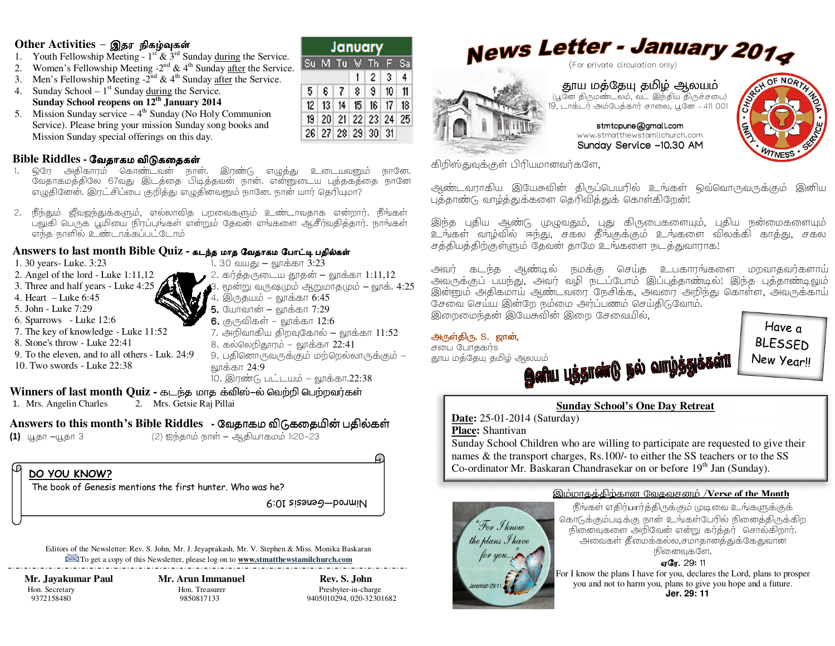#### <u> Other Activities – இதர நிகழ்வுகள்</u>

- 1. Youth Fellowship Meeting  $1^{st}$  &  $3^{rd}$  Sunday during the Service.
- 2.Women's Fellowship Meeting  $-2^{nd} \& 4^{th}$  Sunday after the Service.
- 3. Men's Fellowship Meeting  $-2^{nd}$  & 4<sup>th</sup> Sunday <u>after</u> the Service.
- 4. Sunday School  $-1<sup>st</sup>$  Sunday <u>during</u> the Service.
- **Sunday School reopens on 12th January 2014** 5. Mission Sunday service  $-4<sup>th</sup>$  Sunday (No Holy Communion
- Service). Please bring your mission Sunday song books and Mission Sunday special offerings on this day.

# **Bible Riddles -** ேவதாகம விᾌகைதக῀

- . ஒரே அதிகாரம் கொண்டவன் நான். இரண்டு எழுத்து உடையவனும் நானே. 1..<br>வேதாகமத்திலே 67வது இடத்தை பிடித்தவன் நான். என்னுடைய புத்தகத்தை நானே .<br>எழுதினேன். இரட்சிப்பை குறித்து எழுதின்வனும் நானே. நான் யார் தெரியமா?
- 2. நீந்தும் ஜீவஜந்துக்களும், எல்லாவித பறவைகளும் உண்டாவதாக என்றார். நீங்கள் பலுகி பெருக பூமியை நிரப்பங்கள் என்றும் தேவன் எங்களை ஆசீர்வதித்தார். நாங்கள் எந்த நாளில் உண்டாக்கப்பட்டோம்

#### Answers to last month Bible Quiz - கடந்த மாத வேதாகம போட்டி பதில்கள்<br>பி. 300 பதில் பிரிஜி 200 பதில் பிரிஜி 200 பதில் பிரிஜி 200 பதில் பிரிஜி 200 பதில் பிரிஜி 200 பதில் கூட

1. 30 years- Luke. 3:23

- 1. 30 வயது லூக்கா 3:23
- 2. Angel of the lord Luke 1:11,12
- 3. Three and half years Luke 4:25
- 4. Heart Luke  $6:45$
- 5. John Luke 7:29
- 6. Sparrows Luke 12:6
- 7. The key of knowledge Luke 11:52
- 8. Stone's throw Luke 22:41
- 9. To the eleven, and to all others Luk. 24:9
- 10. Two swords Luke 22:38
- 2. கர்த்தருடைய தூதன் **–** லூக்கா 1:11,12
- 3. மூன்று வருஷமும் ஆறுமாதமும் **–** லூக். 4:25

January

26 27 28 29 30 31

 $1|2|3|4$ 

- $4.$   $\circledR$  (நதயம் லாக்கா  $6:45$
- **5.** யோவான் லூக்கா 7:29
- $\bf{6.}$  குருவிகள் லூக்கா  $12:6$
- 7. அறிவாகிய திறவுகோல் லூக்கா  $11{:}52$
- 8. கல்லெறிதூரம் லூக்கா 22:41
- 9. பதினொருவருக்கும் மற்றெல்லாருக்கும் <sub>காப</sub> லூக்கா $24:9$
- 10. இரண்டு பட்டயம் லூக்கா.22:38

# **Winners of last month Quiz -** B./.EIef /.EIef/.EIef-H d; 9dJ <L

1. Mrs. Angelin Charles 2. Mrs. Getsie Raj Pillai

**Answers to this month's Bible Riddles** - வேதாகம விடுகதையின் பதில்கள்<br>(1) யகா =யகா 3 (2) ஐந்தாம் நாள் = ஆகியாகமம் 1:20–23

**(1)** யூதா

–யூதா 3 (2) ஐந்தாம் நாள் – ஆதியாகமம் 1:20–23

**DO YOU KNOW?**

The book of Genesis mentions the first hunter. Who was he?

Genesis 10:9 — Nimrod

Editors of the Newsletter: Rev. S. John, Mr. J. Jeyaprakash, Mr. V. Stephen & Miss. Monika Baskaran To get a copy of this Newsletter, please log on to **www.stmatthewstamilchurch.com** 

**Mr. Jayakumar Paul 1988 Mr. Arun Immanuel 1988 Mr. Jayakumar Paul 1988 Mr. Arun Immanuel 1988 Rev. S. John** *Hon. Secretary* **Presbyter-in-char** Hon. Secretary **Hon. Treasurer** Presbyter-in-charge 9372158480 9850817133 9405010294, 020-32301682





கிறிஸ்துவக்குள் பிரியமானவர்களே,

ஆண்டவராகிய இயேசுவின் திருப்பெயரில் உங்கள் ஒவ்வொருவருக்கும் இனிய புத்தாண்டு வாழ்த்துக்களை தெரிவித்துக் கொள்கிறேன்!

இந்த புதிய ஆண்டு முழுவதும், புது கிருபைகளையும், புதிய நன்மைகளையும் <u>உங்கள் வா</u>ழ்வில் ஈந்து, சகல கீங்குக்கும் உங்களை விலக்கி காத்து, சகல சத்தியத்திற்குள்ளும் தேவன் தாமே உங்களை நடத்துவாராக!

.<br>அவர் கடந்த ஆண்டில் நமக்கு செய்த உபகாரங்களை மறவாதவர்களாய் OE:8 9+B(, < "89 #85'.4H! #B. 5'.4M .<br>இன்னும் அதிகமாய் ஆண்டவரை நேசிக்க, அவரை அறிந்து கொள்ள, அவருக்காய்  $\sim$  சேவை செய்ய இன்றே நம்மை அர்ப்பணம் செய்திடுவோம்.

இறைமைந்தன் இயேசுவின் இறை சேவையில்.

#### Have n அருள்திரு. S. ஜான், **BLESSED** சபை போதகர்s **இனிய புத்தாண்டு நல் வாழ்த்துக்கள்!!** தூய மத்தேயு தமிழ் ஆலயம் New Yearll

**Sunday School's One Day Retreat** 

**Date:** 25-01-2014 (Saturday)

**Place:** Shantivan

 Sunday School Children who are willing to participate are requested to give their names & the transport charges, Rs.100/- to either the SS teachers or to the SS Co-ordinator Mr. Baskaran Chandrasekar on or before  $19<sup>th</sup>$  Jan (Sunday).



### <u>இம்மாதத்திற்கான வேதவசனம் /Verse of the Month</u><br>படம்பிட்ட கால்பிட்டிருக்காக முதல் கால்பிட்ட கால்பிட்டிருக்காக முதல் கால்பிட்டிருந்தது.

கீங்கள் எதிர்பார்த்திருக்கும் முடிவை உங்களுக்குக்<br>. கொடுக்கும்படிக்கு நான் உங்கள்பேரில் நினைத்திருக்கிற நினைவுகளை அறிவேன் என்று கர்த்தர் சொல்கிறார். அவைகள் தீமைக்கல்ல சமாதானத்துக்கேதுவான  $F_1$ றைவகளே.

#### ஏேர.29:11

 For I know the plans I have for you, declares the Lord, plans to prosper you and not to harm you, plans to give you hope and a future. **Jer. 29: 11**